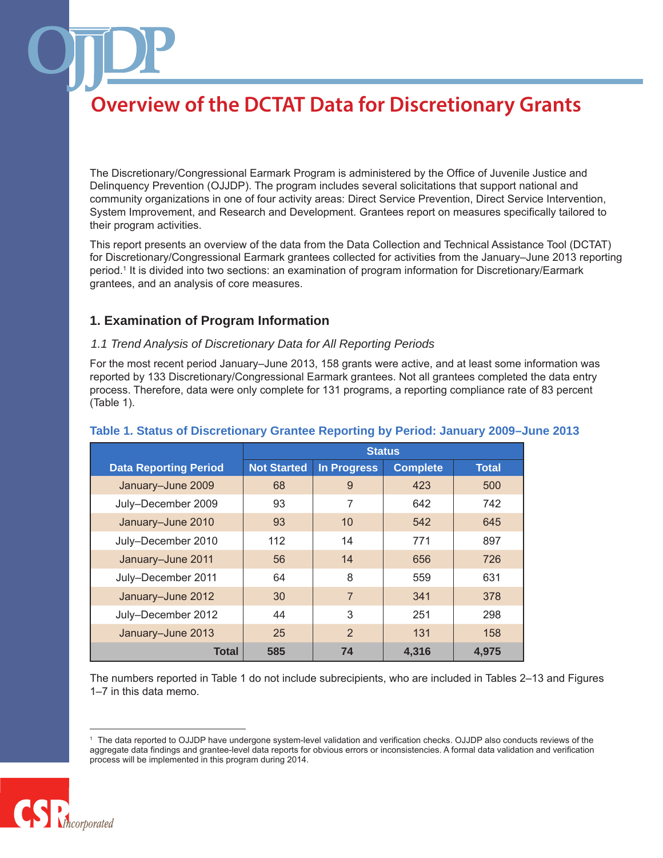The Discretionary/Congressional Earmark Program is administered by the Office of Juvenile Justice and Delinquency Prevention (OJJDP). The program includes several solicitations that support national and community organizations in one of four activity areas: Direct Service Prevention, Direct Service Intervention, System Improvement, and Research and Development. Grantees report on measures specifically tailored to their program activities.

This report presents an overview of the data from the Data Collection and Technical Assistance Tool (DCTAT) for Discretionary/Congressional Earmark grantees collected for activities from the January–June 2013 reporting period.1 It is divided into two sections: an examination of program information for Discretionary/Earmark grantees, and an analysis of core measures.

## **1. Examination of Program Information**

### *1.1 Trend Analysis of Discretionary Data for All Reporting Periods*

For the most recent period January–June 2013, 158 grants were active, and at least some information was reported by 133 Discretionary/Congressional Earmark grantees. Not all grantees completed the data entry process. Therefore, data were only complete for 131 programs, a reporting compliance rate of 83 percent (Table 1).

|                              | <b>Status</b>      |                |                 |              |
|------------------------------|--------------------|----------------|-----------------|--------------|
| <b>Data Reporting Period</b> | <b>Not Started</b> | In Progress    | <b>Complete</b> | <b>Total</b> |
| January-June 2009            | 68                 | 9              | 423             | 500          |
| July-December 2009           | 93                 | $\overline{7}$ | 642             | 742          |
| January-June 2010            | 93                 | 10             | 542             | 645          |
| July-December 2010           | 112                | 14             | 771             | 897          |
| January-June 2011            | 56                 | 14             | 656             | 726          |
| July-December 2011           | 64                 | 8              | 559             | 631          |
| January-June 2012            | 30                 | $\overline{7}$ | 341             | 378          |
| July-December 2012           | 44                 | 3              | 251             | 298          |
| January-June 2013            | 25                 | $\overline{2}$ | 131             | 158          |
| Total                        | 585                | 74             | 4,316           | 4.975        |

### **Table 1. Status of Discretionary Grantee Reporting by Period: January 2009–June 2013**

The numbers reported in Table 1 do not include subrecipients, who are included in Tables 2–13 and Figures 1–7 in this data memo.

<sup>1</sup> The data reported to OJJDP have undergone system-level validation and verification checks. OJJDP also conducts reviews of the aggregate data findings and grantee-level data reports for obvious errors or inconsistencies. A formal data validation and verification process will be implemented in this program during 2014.

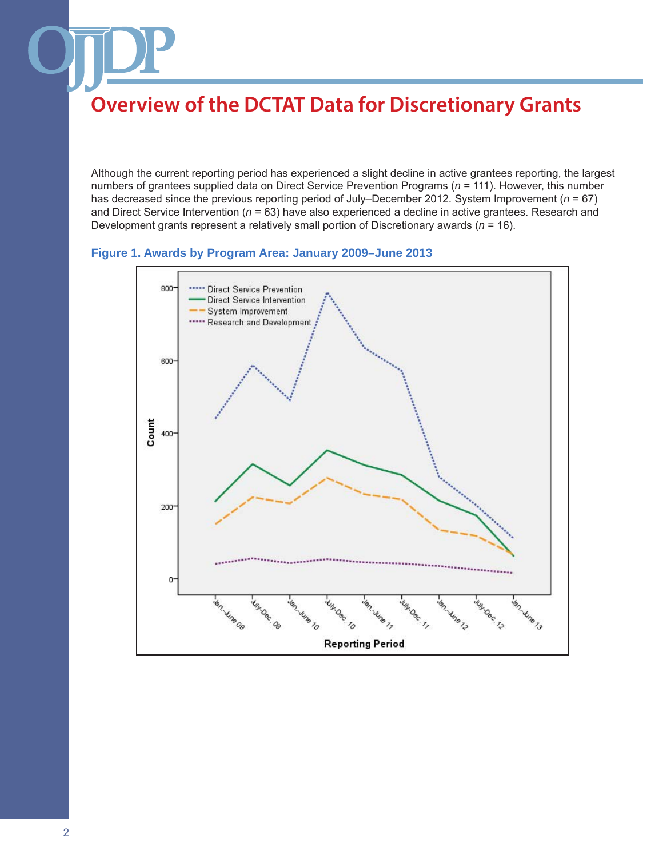Although the current reporting period has experienced a slight decline in active grantees reporting, the largest numbers of grantees supplied data on Direct Service Prevention Programs (*n* = 111). However, this number has decreased since the previous reporting period of July–December 2012. System Improvement (*n* = 67) and Direct Service Intervention (*n* = 63) have also experienced a decline in active grantees. Research and Development grants represent a relatively small portion of Discretionary awards (*n* = 16).

**Figure 1. Awards by Program Area: January 2009–June 2013**

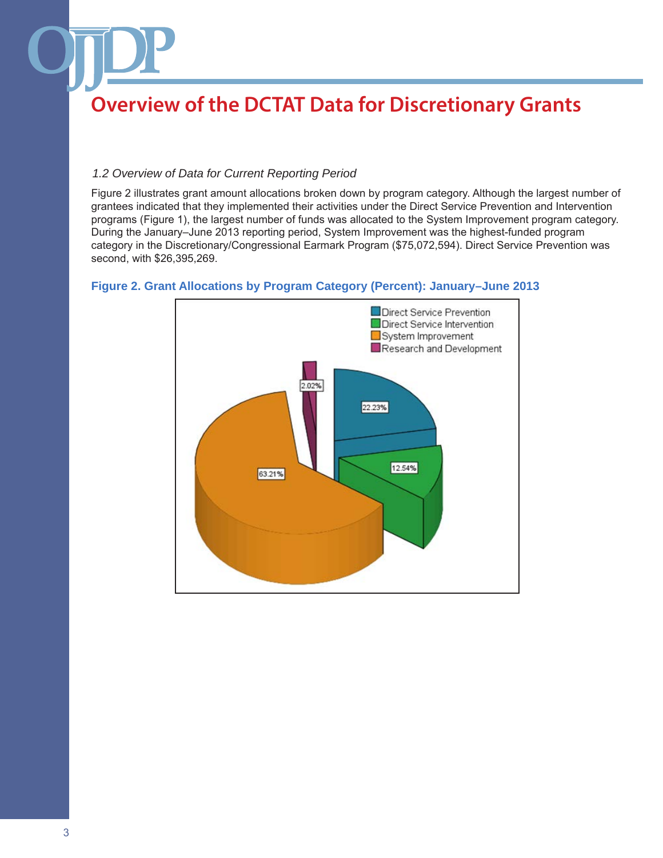### *1.2 Overview of Data for Current Reporting Period*

Figure 2 illustrates grant amount allocations broken down by program category. Although the largest number of grantees indicated that they implemented their activities under the Direct Service Prevention and Intervention programs (Figure 1), the largest number of funds was allocated to the System Improvement program category. During the January–June 2013 reporting period, System Improvement was the highest-funded program category in the Discretionary/Congressional Earmark Program (\$75,072,594). Direct Service Prevention was second, with \$26,395,269.



### **Figure 2. Grant Allocations by Program Category (Percent): January–June 2013**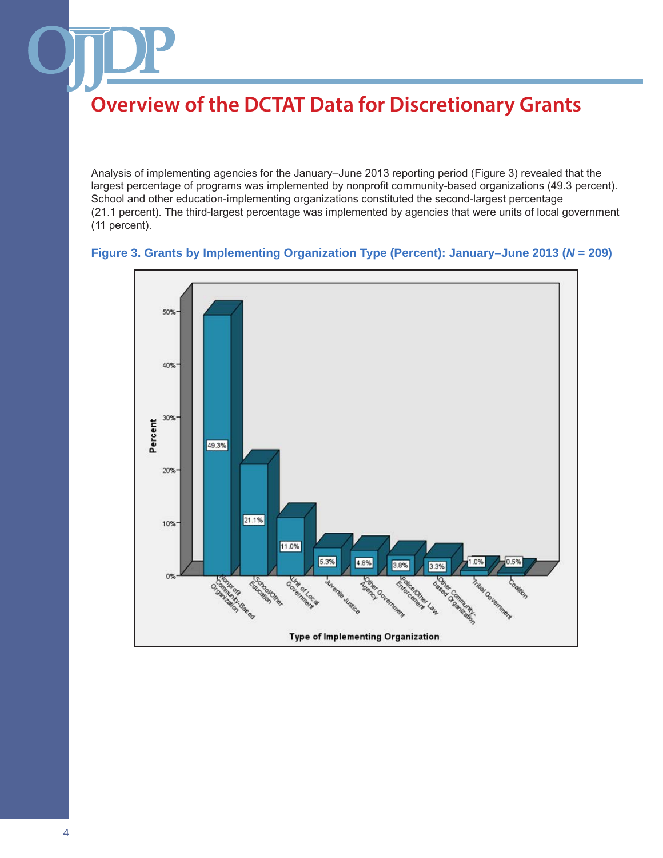Analysis of implementing agencies for the January–June 2013 reporting period (Figure 3) revealed that the largest percentage of programs was implemented by nonprofit community-based organizations (49.3 percent). School and other education-implementing organizations constituted the second-largest percentage (21.1 percent). The third-largest percentage was implemented by agencies that were units of local government (11 percent).

### **Figure 3. Grants by Implementing Organization Type (Percent): January–June 2013 (***N* **= 209)**

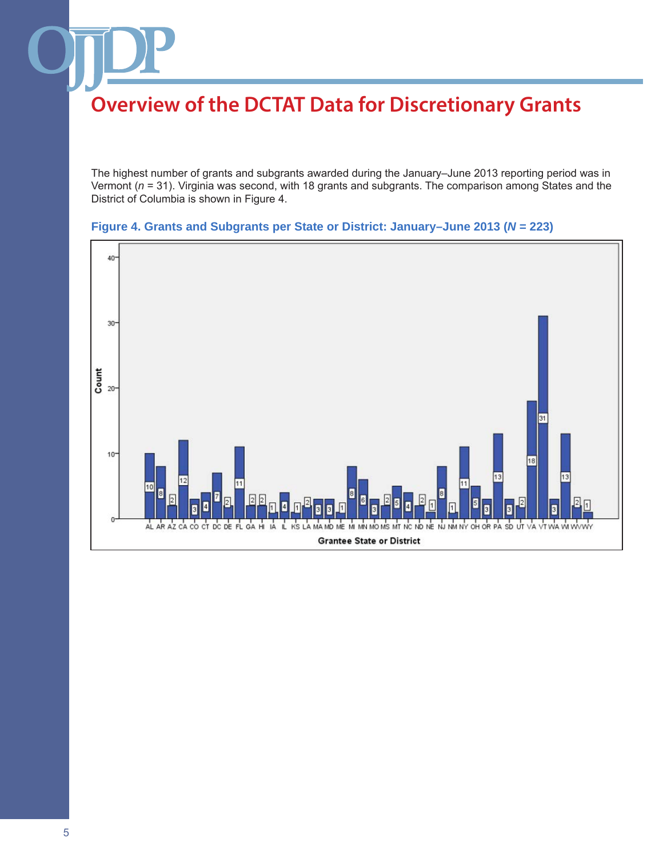The highest number of grants and subgrants awarded during the January–June 2013 reporting period was in Vermont (*n* = 31). Virginia was second, with 18 grants and subgrants. The comparison among States and the District of Columbia is shown in Figure 4.



### **Figure 4. Grants and Subgrants per State or District: January–June 2013 (***N* **= 223)**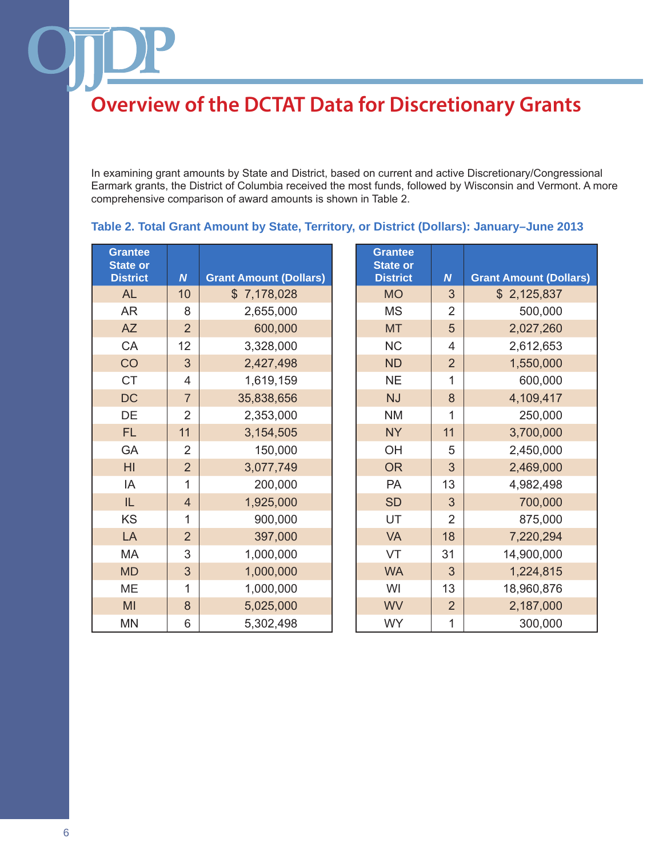In examining grant amounts by State and District, based on current and active Discretionary/Congressional Earmark grants, the District of Columbia received the most funds, followed by Wisconsin and Vermont. A more comprehensive comparison of award amounts is shown in Table 2.

**Grantee** 

| <b>Grantee</b><br><b>State or</b><br><b>District</b> | N              | <b>Grant Amount (Dollars)</b> |
|------------------------------------------------------|----------------|-------------------------------|
| <b>AL</b>                                            | 10             | \$7,178,028                   |
| <b>AR</b>                                            | 8              | 2,655,000                     |
| <b>AZ</b>                                            | $\overline{2}$ | 600,000                       |
| CA                                                   | 12             | 3,328,000                     |
| CO                                                   | 3              | 2,427,498                     |
| <b>CT</b>                                            | 4              | 1,619,159                     |
| <b>DC</b>                                            | $\overline{7}$ | 35,838,656                    |
| DE                                                   | $\overline{2}$ | 2,353,000                     |
| <b>FL</b>                                            | 11             | 3,154,505                     |
| GA                                                   | $\overline{2}$ | 150,000                       |
| HI                                                   | $\overline{2}$ | 3,077,749                     |
| IA                                                   | 1              | 200,000                       |
| IL                                                   | $\overline{4}$ | 1,925,000                     |
| KS                                                   | 1              | 900,000                       |
| LA                                                   | $\overline{2}$ | 397,000                       |
| MA                                                   | 3              | 1,000,000                     |
| <b>MD</b>                                            | 3              | 1,000,000                     |
| MЕ                                                   | 1              | 1,000,000                     |
| MI                                                   | 8              | 5,025,000                     |
| MN                                                   | 6              | 5,302,498                     |

| ate or         |                |                               | <b>State or</b> |                  |                               |
|----------------|----------------|-------------------------------|-----------------|------------------|-------------------------------|
| <b>istrict</b> | $\overline{N}$ | <b>Grant Amount (Dollars)</b> | <b>District</b> | $\boldsymbol{N}$ | <b>Grant Amount (Dollars)</b> |
| <b>AL</b>      | 10             | \$7,178,028                   | <b>MO</b>       | 3                | \$2,125,837                   |
| <b>AR</b>      | 8              | 2,655,000                     | <b>MS</b>       | $\overline{2}$   | 500,000                       |
| <b>AZ</b>      | $\overline{2}$ | 600,000                       | <b>MT</b>       | 5                | 2,027,260                     |
| CA             | 12             | 3,328,000                     | <b>NC</b>       | 4                | 2,612,653                     |
| CO             | 3              | 2,427,498                     | <b>ND</b>       | $\overline{2}$   | 1,550,000                     |
| <b>CT</b>      | 4              | 1,619,159                     | <b>NE</b>       | 1                | 600,000                       |
| DC             | $\overline{7}$ | 35,838,656                    | <b>NJ</b>       | 8                | 4,109,417                     |
| DE             | $\overline{2}$ | 2,353,000                     | <b>NM</b>       | 1                | 250,000                       |
| <b>FL</b>      | 11             | 3,154,505                     | <b>NY</b>       | 11               | 3,700,000                     |
| GA             | $\overline{2}$ | 150,000                       | OH              | 5                | 2,450,000                     |
| H <sub>l</sub> | $\overline{2}$ | 3,077,749                     | <b>OR</b>       | 3                | 2,469,000                     |
| IA             | 1              | 200,000                       | PA              | 13               | 4,982,498                     |
| IL             | $\overline{4}$ | 1,925,000                     | <b>SD</b>       | 3                | 700,000                       |
| <b>KS</b>      | 1              | 900,000                       | UT              | $\overline{2}$   | 875,000                       |
| LA             | $\overline{2}$ | 397,000                       | <b>VA</b>       | 18               | 7,220,294                     |
| MA             | 3              | 1,000,000                     | VT              | 31               | 14,900,000                    |
| <b>MD</b>      | 3              | 1,000,000                     | <b>WA</b>       | 3                | 1,224,815                     |
| МE             | $\mathbf{1}$   | 1,000,000                     | WI              | 13               | 18,960,876                    |
| MI             | 8              | 5,025,000                     | <b>WV</b>       | $\overline{2}$   | 2,187,000                     |
| ΜN             | 6              | 5,302,498                     | <b>WY</b>       | 1                | 300,000                       |
|                |                |                               |                 |                  |                               |

### **Table 2. Total Grant Amount by State, Territory, or District (Dollars): January–June 2013**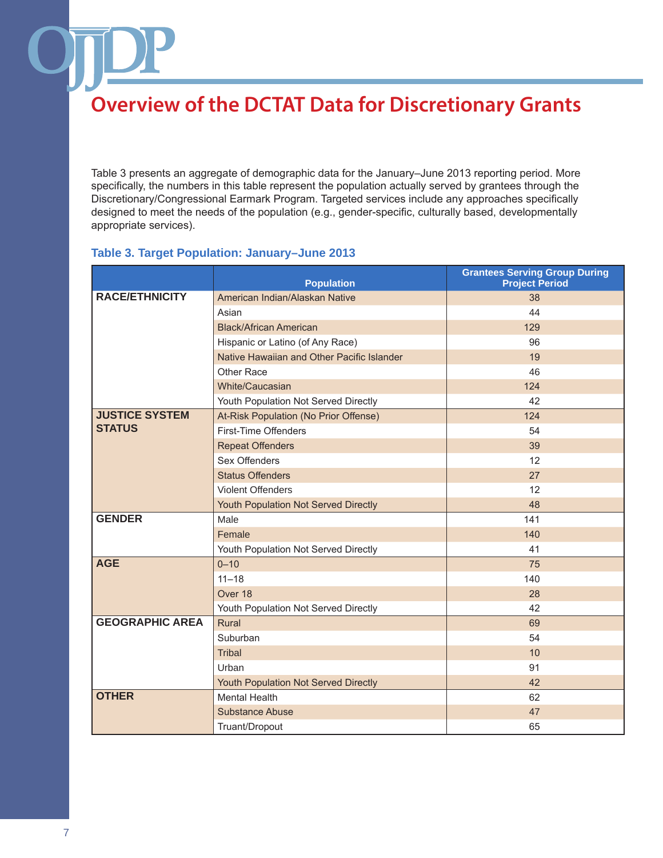Table 3 presents an aggregate of demographic data for the January–June 2013 reporting period. More specifically, the numbers in this table represent the population actually served by grantees through the Discretionary/Congressional Earmark Program. Targeted services include any approaches specifically designed to meet the needs of the population (e.g., gender-specific, culturally based, developmentally appropriate services).

### **Table 3. Target Population: January–June 2013**

|                        | <b>Population</b>                          | <b>Grantees Serving Group During</b><br><b>Project Period</b> |
|------------------------|--------------------------------------------|---------------------------------------------------------------|
| <b>RACE/ETHNICITY</b>  | American Indian/Alaskan Native             | 38                                                            |
|                        | Asian                                      | 44                                                            |
|                        | <b>Black/African American</b>              | 129                                                           |
|                        | Hispanic or Latino (of Any Race)           | 96                                                            |
|                        | Native Hawaiian and Other Pacific Islander | 19                                                            |
|                        | Other Race                                 | 46                                                            |
|                        | White/Caucasian                            | 124                                                           |
|                        | Youth Population Not Served Directly       | 42                                                            |
| <b>JUSTICE SYSTEM</b>  | At-Risk Population (No Prior Offense)      | 124                                                           |
| <b>STATUS</b>          | First-Time Offenders                       | 54                                                            |
|                        | <b>Repeat Offenders</b>                    | 39                                                            |
|                        | Sex Offenders                              | 12                                                            |
|                        | <b>Status Offenders</b>                    | 27                                                            |
|                        | <b>Violent Offenders</b>                   | 12                                                            |
|                        | Youth Population Not Served Directly       | 48                                                            |
| <b>GENDER</b>          | Male                                       | 141                                                           |
|                        | Female                                     | 140                                                           |
|                        | Youth Population Not Served Directly       | 41                                                            |
| <b>AGE</b>             | $0 - 10$                                   | 75                                                            |
|                        | $11 - 18$                                  | 140                                                           |
|                        | Over 18                                    | 28                                                            |
|                        | Youth Population Not Served Directly       | 42                                                            |
| <b>GEOGRAPHIC AREA</b> | Rural                                      | 69                                                            |
|                        | Suburban                                   | 54                                                            |
|                        | <b>Tribal</b>                              | 10                                                            |
|                        | Urban                                      | 91                                                            |
|                        | Youth Population Not Served Directly       | 42                                                            |
| <b>OTHER</b>           | <b>Mental Health</b>                       | 62                                                            |
|                        | <b>Substance Abuse</b>                     | 47                                                            |
|                        | Truant/Dropout                             | 65                                                            |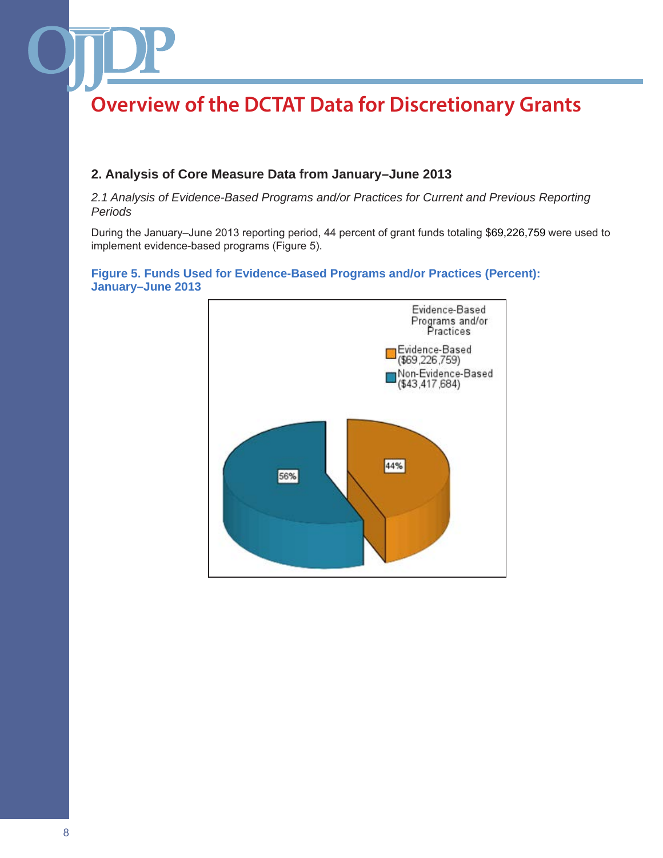## **2. Analysis of Core Measure Data from January–June 2013**

*2.1 Analysis of Evidence-Based Programs and/or Practices for Current and Previous Reporting Periods*

During the January–June 2013 reporting period, 44 percent of grant funds totaling \$69,226,759 were used to implement evidence-based programs (Figure 5).

### **Figure 5. Funds Used for Evidence-Based Programs and/or Practices (Percent): January–June 2013**

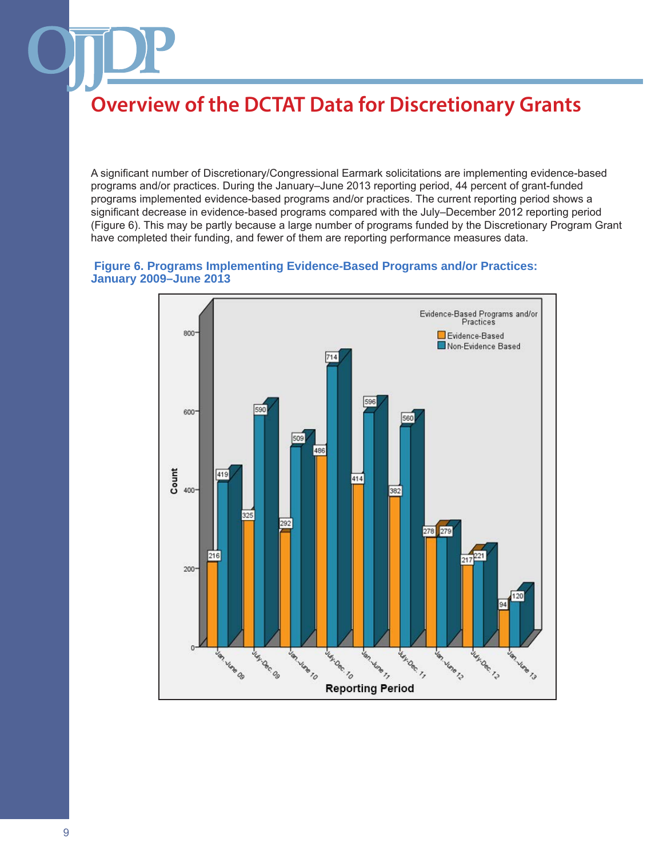A significant number of Discretionary/Congressional Earmark solicitations are implementing evidence-based programs and/or practices. During the January–June 2013 reporting period, 44 percent of grant-funded programs implemented evidence-based programs and/or practices. The current reporting period shows a significant decrease in evidence-based programs compared with the July–December 2012 reporting period (Figure 6). This may be partly because a large number of programs funded by the Discretionary Program Grant have completed their funding, and fewer of them are reporting performance measures data.

#### **Figure 6. Programs Implementing Evidence-Based Programs and/or Practices: January 2009–June 2013**

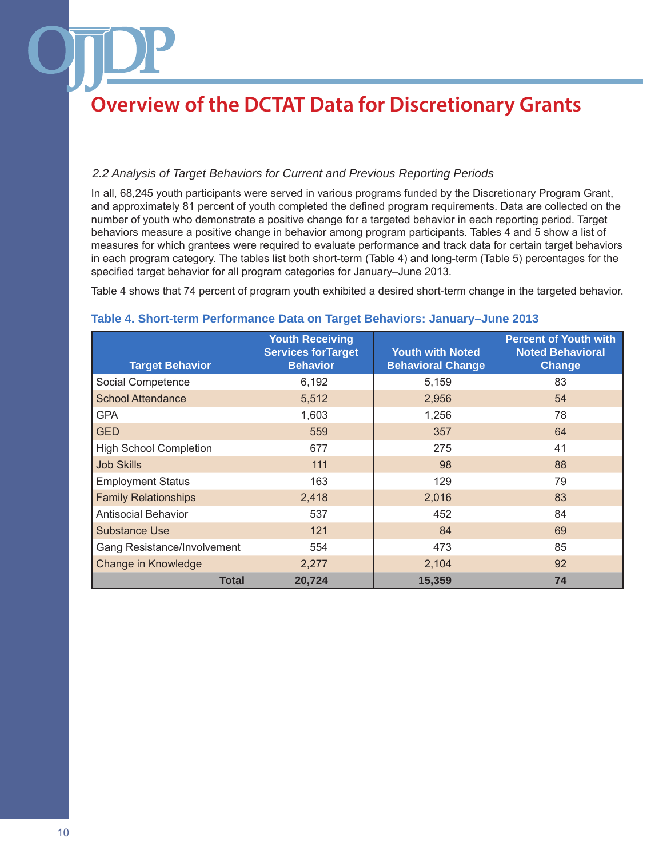### *2.2 Analysis of Target Behaviors for Current and Previous Reporting Periods*

In all, 68,245 youth participants were served in various programs funded by the Discretionary Program Grant, and approximately 81 percent of youth completed the defined program requirements. Data are collected on the number of youth who demonstrate a positive change for a targeted behavior in each reporting period. Target behaviors measure a positive change in behavior among program participants. Tables 4 and 5 show a list of measures for which grantees were required to evaluate performance and track data for certain target behaviors in each program category. The tables list both short-term (Table 4) and long-term (Table 5) percentages for the specified target behavior for all program categories for January–June 2013.

Table 4 shows that 74 percent of program youth exhibited a desired short-term change in the targeted behavior.

| <b>Target Behavior</b>        | <b>Youth Receiving</b><br><b>Services for Target</b><br><b>Behavior</b> | <b>Youth with Noted</b><br><b>Behavioral Change</b> | <b>Percent of Youth with</b><br><b>Noted Behavioral</b><br>Change |
|-------------------------------|-------------------------------------------------------------------------|-----------------------------------------------------|-------------------------------------------------------------------|
| Social Competence             | 6,192                                                                   | 5,159                                               | 83                                                                |
| <b>School Attendance</b>      | 5,512                                                                   | 2,956                                               | 54                                                                |
| <b>GPA</b>                    | 1,603                                                                   | 1,256                                               | 78                                                                |
| <b>GED</b>                    | 559                                                                     | 357                                                 | 64                                                                |
| <b>High School Completion</b> | 677                                                                     | 275                                                 | 41                                                                |
| <b>Job Skills</b>             | 111                                                                     | 98                                                  | 88                                                                |
| <b>Employment Status</b>      | 163                                                                     | 129                                                 | 79                                                                |
| <b>Family Relationships</b>   | 2,418                                                                   | 2,016                                               | 83                                                                |
| <b>Antisocial Behavior</b>    | 537                                                                     | 452                                                 | 84                                                                |
| <b>Substance Use</b>          | 121                                                                     | 84                                                  | 69                                                                |
| Gang Resistance/Involvement   | 554                                                                     | 473                                                 | 85                                                                |
| Change in Knowledge           | 2,277                                                                   | 2,104                                               | 92                                                                |
| <b>Total</b>                  | 20,724                                                                  | 15,359                                              | 74                                                                |

#### **Table 4. Short-term Performance Data on Target Behaviors: January–June 2013**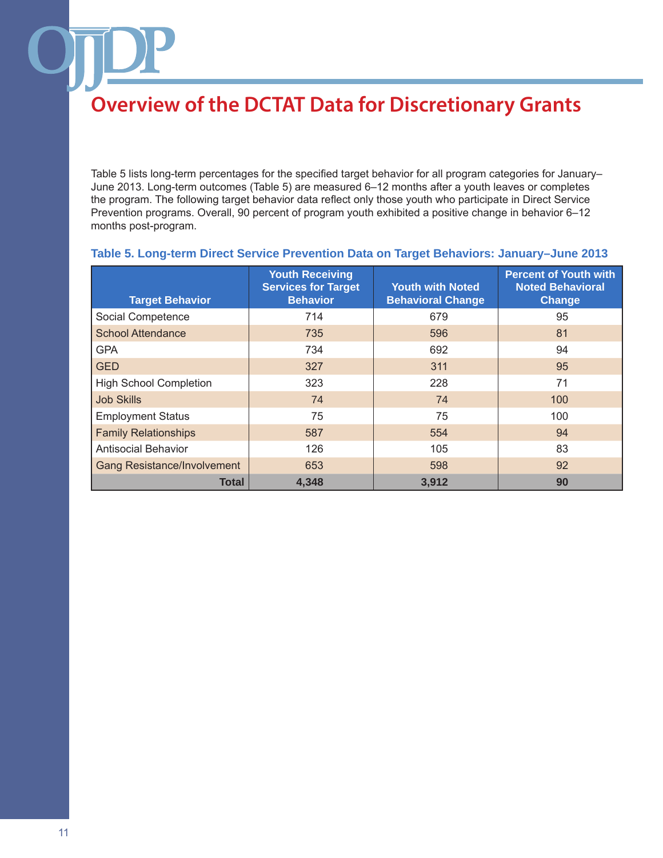Table 5 lists long-term percentages for the specified target behavior for all program categories for January– June 2013. Long-term outcomes (Table 5) are measured 6–12 months after a youth leaves or completes the program. The following target behavior data reflect only those youth who participate in Direct Service Prevention programs. Overall, 90 percent of program youth exhibited a positive change in behavior 6–12 months post-program.

| <b>Target Behavior</b>             | <b>Youth Receiving</b><br><b>Services for Target</b><br><b>Behavior</b> | <b>Youth with Noted</b><br><b>Behavioral Change</b> | <b>Percent of Youth with</b><br><b>Noted Behavioral</b><br>Change |
|------------------------------------|-------------------------------------------------------------------------|-----------------------------------------------------|-------------------------------------------------------------------|
| Social Competence                  | 714                                                                     | 679                                                 | 95                                                                |
| <b>School Attendance</b>           | 735                                                                     | 596                                                 | 81                                                                |
| <b>GPA</b>                         | 734                                                                     | 692                                                 | 94                                                                |
| <b>GED</b>                         | 327                                                                     | 311                                                 | 95                                                                |
| <b>High School Completion</b>      | 323                                                                     | 228                                                 | 71                                                                |
| <b>Job Skills</b>                  | 74                                                                      | 74                                                  | 100                                                               |
| <b>Employment Status</b>           | 75                                                                      | 75                                                  | 100                                                               |
| <b>Family Relationships</b>        | 587                                                                     | 554                                                 | 94                                                                |
| <b>Antisocial Behavior</b>         | 126                                                                     | 105                                                 | 83                                                                |
| <b>Gang Resistance/Involvement</b> | 653                                                                     | 598                                                 | 92                                                                |
| Total                              | 4.348                                                                   | 3,912                                               | 90                                                                |

### **Table 5. Long-term Direct Service Prevention Data on Target Behaviors: January–June 2013**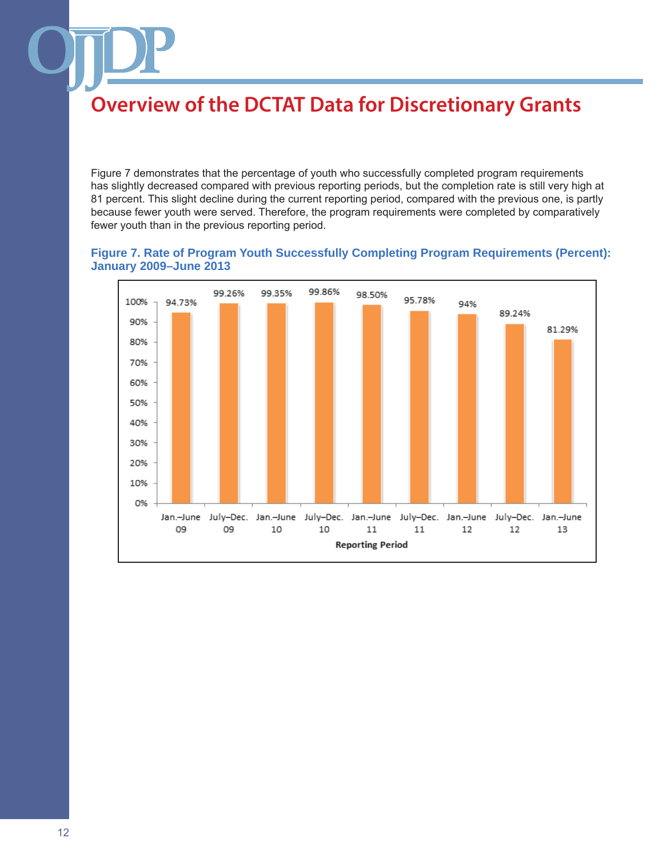Figure 7 demonstrates that the percentage of youth who successfully completed program requirements has slightly decreased compared with previous reporting periods, but the completion rate is still very high at 81 percent. This slight decline during the current reporting period, compared with the previous one, is partly because fewer youth were served. Therefore, the program requirements were completed by comparatively fewer youth than in the previous reporting period.

### **Figure 7. Rate of Program Youth Successfully Completing Program Requirements (Percent): January 2009–June 2013**

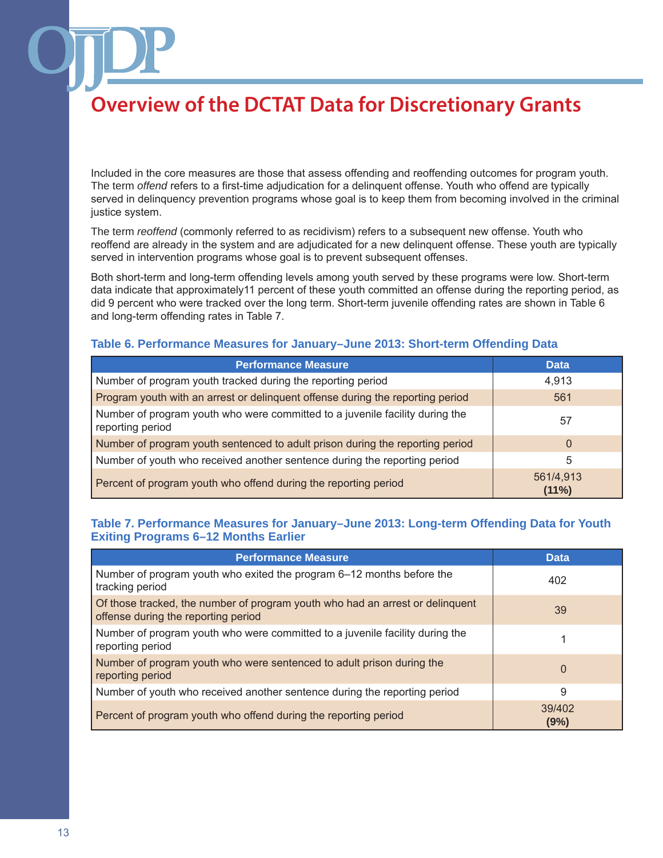Included in the core measures are those that assess offending and reoffending outcomes for program youth. The term *offend* refers to a first-time adjudication for a delinquent offense. Youth who offend are typically served in delinquency prevention programs whose goal is to keep them from becoming involved in the criminal justice system.

The term *reoffend* (commonly referred to as recidivism) refers to a subsequent new offense. Youth who reoffend are already in the system and are adjudicated for a new delinquent offense. These youth are typically served in intervention programs whose goal is to prevent subsequent offenses.

Both short-term and long-term offending levels among youth served by these programs were low. Short-term data indicate that approximately11 percent of these youth committed an offense during the reporting period, as did 9 percent who were tracked over the long term. Short-term juvenile offending rates are shown in Table 6 and long-term offending rates in Table 7.

### **Table 6. Performance Measures for January–June 2013: Short-term Offending Data**

| <b>Performance Measure</b>                                                                       | <b>Data</b>        |
|--------------------------------------------------------------------------------------------------|--------------------|
| Number of program youth tracked during the reporting period                                      | 4,913              |
| Program youth with an arrest or delinquent offense during the reporting period                   | 561                |
| Number of program youth who were committed to a juvenile facility during the<br>reporting period | 57                 |
| Number of program youth sentenced to adult prison during the reporting period                    | $\Omega$           |
| Number of youth who received another sentence during the reporting period                        | 5                  |
| Percent of program youth who offend during the reporting period                                  | 561/4,913<br>(11%) |

### **Table 7. Performance Measures for January–June 2013: Long-term Offending Data for Youth Exiting Programs 6–12 Months Earlier**

| <b>Performance Measure</b>                                                                                           | Data           |
|----------------------------------------------------------------------------------------------------------------------|----------------|
| Number of program youth who exited the program 6–12 months before the<br>tracking period                             | 402            |
| Of those tracked, the number of program youth who had an arrest or delinquent<br>offense during the reporting period | 39             |
| Number of program youth who were committed to a juvenile facility during the<br>reporting period                     |                |
| Number of program youth who were sentenced to adult prison during the<br>reporting period                            | $\Omega$       |
| Number of youth who received another sentence during the reporting period                                            | 9              |
| Percent of program youth who offend during the reporting period                                                      | 39/402<br>(9%) |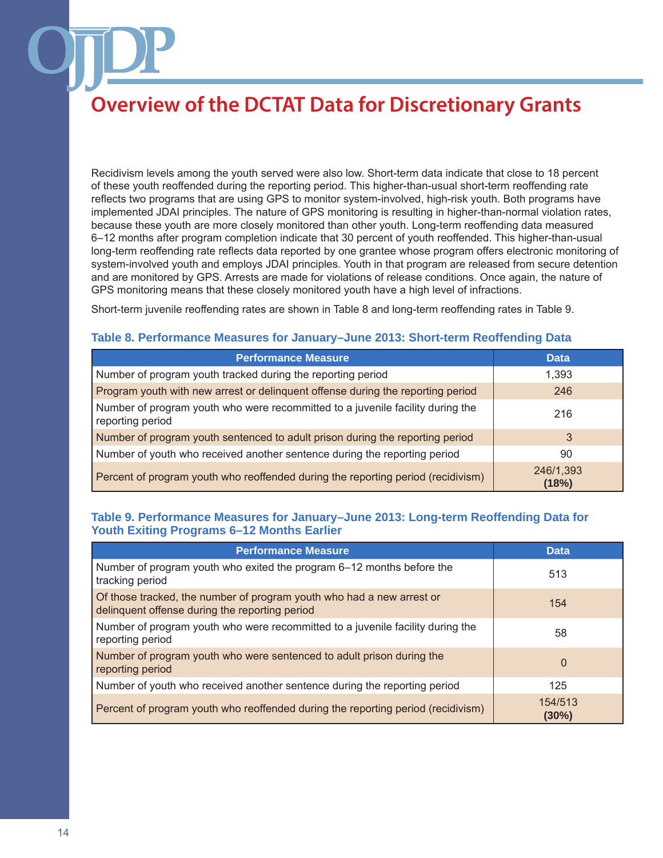Recidivism levels among the youth served were also low. Short-term data indicate that close to 18 percent of these youth reoffended during the reporting period. This higher-than-usual short-term reoffending rate reflects two programs that are using GPS to monitor system-involved, high-risk youth. Both programs have implemented JDAI principles. The nature of GPS monitoring is resulting in higher-than-normal violation rates, because these youth are more closely monitored than other youth. Long-term reoffending data measured 6–12 months after program completion indicate that 30 percent of youth reoffended. This higher-than-usual long-term reoffending rate reflects data reported by one grantee whose program offers electronic monitoring of system-involved youth and employs JDAI principles. Youth in that program are released from secure detention and are monitored by GPS. Arrests are made for violations of release conditions. Once again, the nature of GPS monitoring means that these closely monitored youth have a high level of infractions.

Short-term juvenile reoffending rates are shown in Table 8 and long-term reoffending rates in Table 9.

### **Table 8. Performance Measures for January–June 2013: Short-term Reoffending Data**

| <b>Performance Measure</b>                                                                         | <b>Data</b>        |
|----------------------------------------------------------------------------------------------------|--------------------|
| Number of program youth tracked during the reporting period                                        | 1,393              |
| Program youth with new arrest or delinquent offense during the reporting period                    | 246                |
| Number of program youth who were recommitted to a juvenile facility during the<br>reporting period | 216                |
| Number of program youth sentenced to adult prison during the reporting period                      | 3                  |
| Number of youth who received another sentence during the reporting period                          | 90                 |
| Percent of program youth who reoffended during the reporting period (recidivism)                   | 246/1,393<br>(18%) |

### **Table 9. Performance Measures for January–June 2013: Long-term Reoffending Data for Youth Exiting Programs 6–12 Months Earlier**

| <b>Performance Measure</b>                                                                                              | <b>Data</b>         |
|-------------------------------------------------------------------------------------------------------------------------|---------------------|
| Number of program youth who exited the program 6–12 months before the<br>tracking period                                | 513                 |
| Of those tracked, the number of program youth who had a new arrest or<br>delinquent offense during the reporting period | 154                 |
| Number of program youth who were recommitted to a juvenile facility during the<br>reporting period                      | 58                  |
| Number of program youth who were sentenced to adult prison during the<br>reporting period                               | 0                   |
| Number of youth who received another sentence during the reporting period                                               | 125                 |
| Percent of program youth who reoffended during the reporting period (recidivism)                                        | 154/513<br>$(30\%)$ |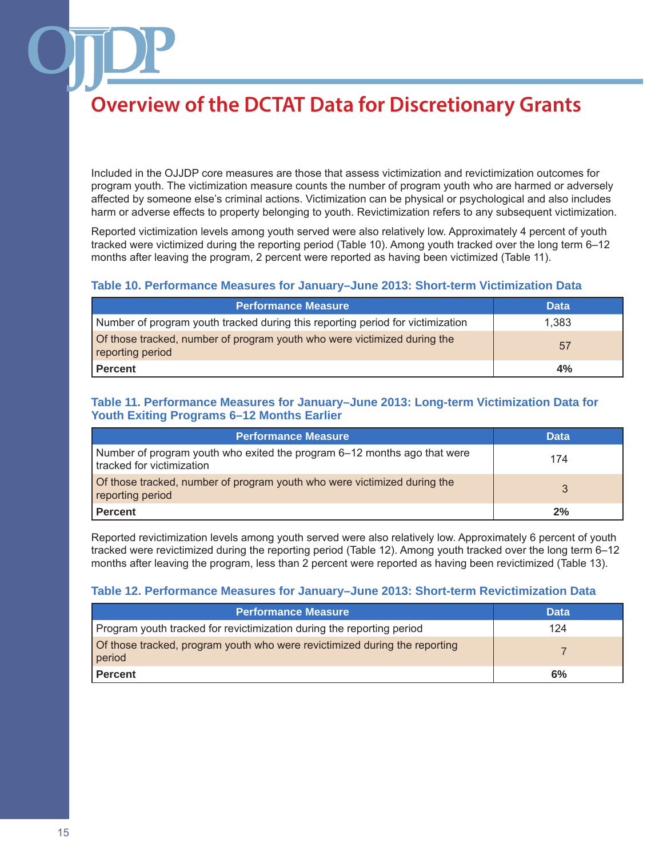Included in the OJJDP core measures are those that assess victimization and revictimization outcomes for program youth. The victimization measure counts the number of program youth who are harmed or adversely affected by someone else's criminal actions. Victimization can be physical or psychological and also includes harm or adverse effects to property belonging to youth. Revictimization refers to any subsequent victimization.

Reported victimization levels among youth served were also relatively low. Approximately 4 percent of youth tracked were victimized during the reporting period (Table 10). Among youth tracked over the long term 6–12 months after leaving the program, 2 percent were reported as having been victimized (Table 11).

### **Table 10. Performance Measures for January–June 2013: Short-term Victimization Data**

| <b>Performance Measure</b>                                                                   | <b>Data</b> |
|----------------------------------------------------------------------------------------------|-------------|
| Number of program youth tracked during this reporting period for victimization               | 1.383       |
| of those tracked, number of program youth who were victimized during the<br>reporting period | 57          |
| Percent                                                                                      | 4%          |

### **Table 11. Performance Measures for January–June 2013: Long-term Victimization Data for Youth Exiting Programs 6–12 Months Earlier**

| <b>Performance Measure</b>                                                                            | <b>Data</b> |
|-------------------------------------------------------------------------------------------------------|-------------|
| Number of program youth who exited the program 6–12 months ago that were<br>tracked for victimization | 174         |
| of those tracked, number of program youth who were victimized during the<br>reporting period          |             |
| <b>Percent</b>                                                                                        | 2%          |

Reported revictimization levels among youth served were also relatively low. Approximately 6 percent of youth tracked were revictimized during the reporting period (Table 12). Among youth tracked over the long term 6–12 months after leaving the program, less than 2 percent were reported as having been revictimized (Table 13).

### **Table 12. Performance Measures for January–June 2013: Short-term Revictimization Data**

| <b>Performance Measure</b>                                                           | <b>Data</b> |
|--------------------------------------------------------------------------------------|-------------|
| Program youth tracked for revictimization during the reporting period                | 124         |
| Of those tracked, program youth who were revictimized during the reporting<br>period |             |
| <b>Percent</b>                                                                       | 6%          |